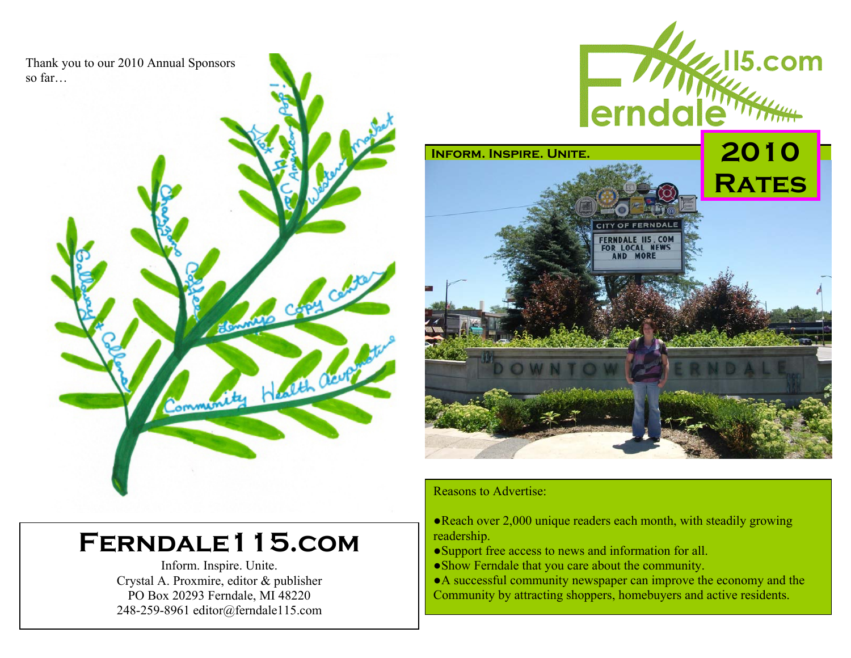Thank you to our 2010 Annual Sponsors so far…





# **Ferndale115.com**

Inform. Inspire. Unite. Crystal A. Proxmire, editor & publisher PO Box 20293 Ferndale, MI 48220 248-259-8961 editor@ferndale115.com

## Reasons to Advertise:

- ●Reach over 2,000 unique readers each month, with steadily growing readership.
- ●Support free access to news and information for all.
- ●Show Ferndale that you care about the community.
- ●A successful community newspaper can improve the economy and the Community by attracting shoppers, homebuyers and active residents.